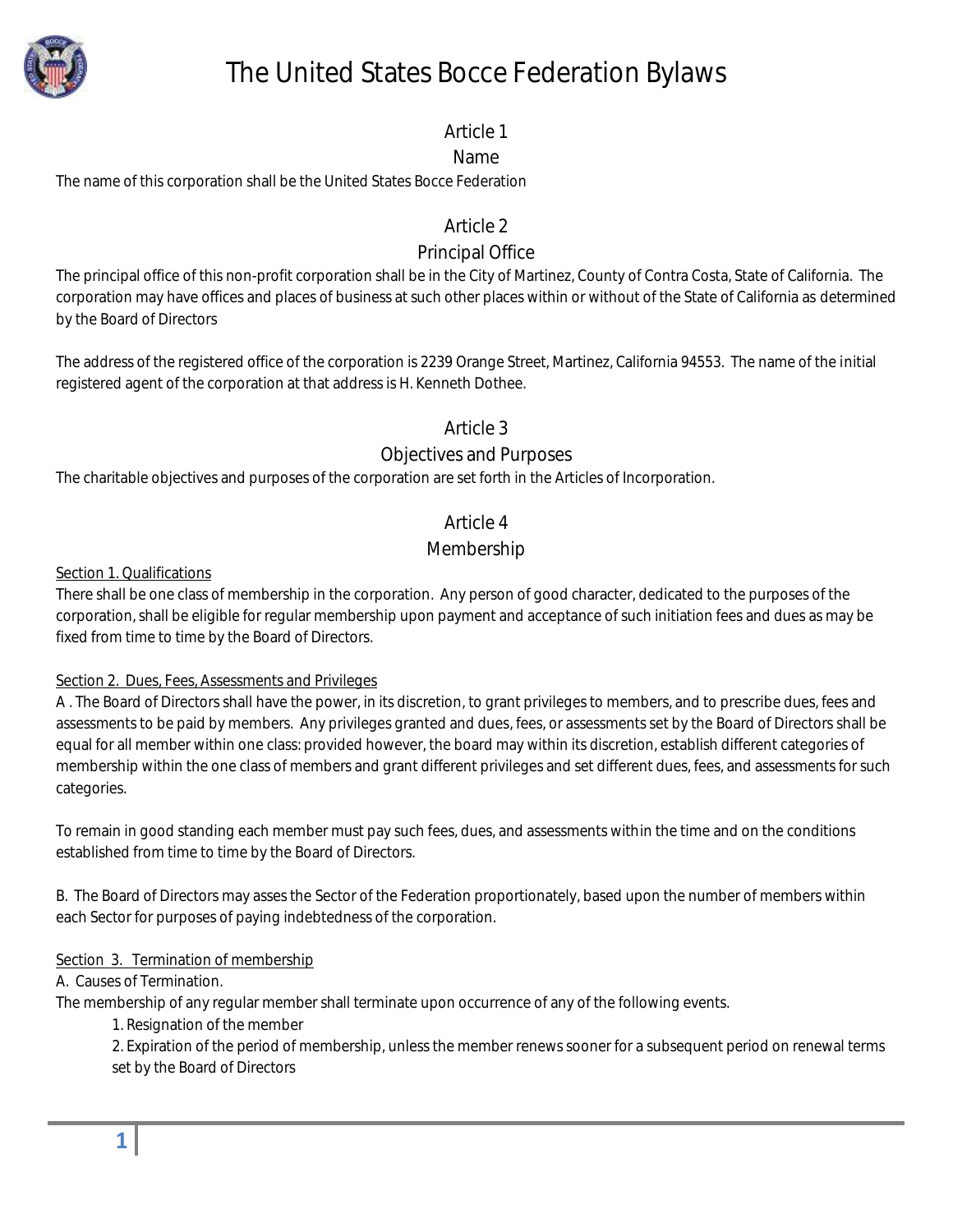

# The United States Bocce Federation Bylaws

### Article 1

### Name

The name of this corporation shall be the United States Bocce Federation

### Article 2

### Principal Office

The principal office of this non-profit corporation shall be in the City of Martinez, County of Contra Costa, State of California. The corporation may have offices and places of business at such other places within or without of the State of California as determined by the Board of Directors

The address of the registered office of the corporation is 2239 Orange Street, Martinez, California 94553. The name of the initial registered agent of the corporation at that address is H. Kenneth Dothee.

### Article 3

### Objectives and Purposes

The charitable objectives and purposes of the corporation are set forth in the Articles of Incorporation.

### Article 4

### Membership

#### Section 1. Qualifications

There shall be one class of membership in the corporation. Any person of good character, dedicated to the purposes of the corporation, shall be eligible for regular membership upon payment and acceptance of such initiation fees and dues as may be fixed from time to time by the Board of Directors.

### Section 2. Dues, Fees, Assessments and Privileges

A . The Board of Directors shall have the power, in its discretion, to grant privileges to members, and to prescribe dues, fees and assessments to be paid by members. Any privileges granted and dues, fees, or assessments set by the Board of Directors shall be equal for all member within one class: provided however, the board may within its discretion, establish different categories of membership within the one class of members and grant different privileges and set different dues, fees, and assessments for such categories.

To remain in good standing each member must pay such fees, dues, and assessments within the time and on the conditions established from time to time by the Board of Directors.

B. The Board of Directors may asses the Sector of the Federation proportionately, based upon the number of members within each Sector for purposes of paying indebtedness of the corporation.

### Section 3. Termination of membership

### A. Causes of Termination.

The membership of any regular member shall terminate upon occurrence of any of the following events.

1. Resignation of the member

2. Expiration of the period of membership, unless the member renews sooner for a subsequent period on renewal terms set by the Board of Directors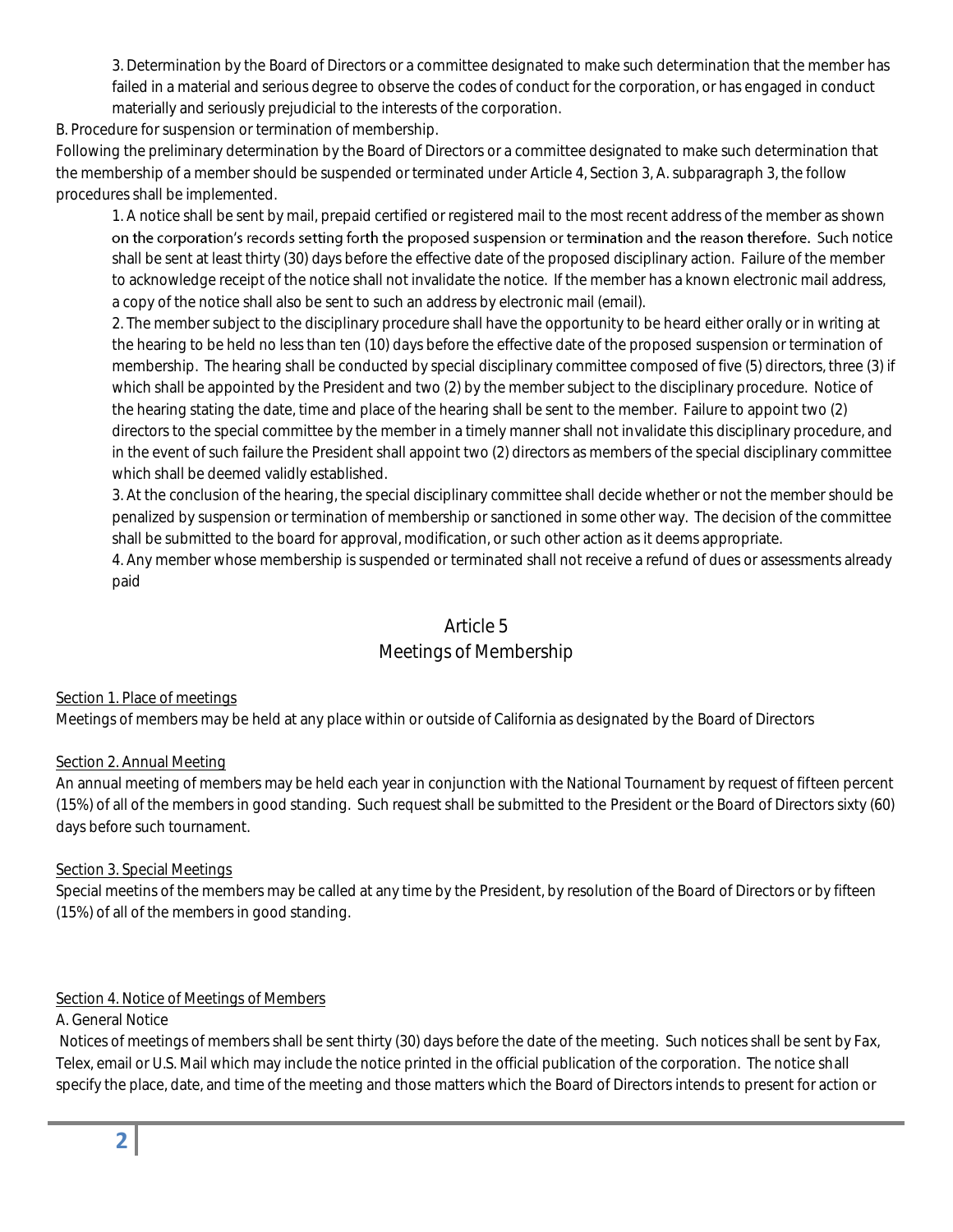3. Determination by the Board of Directors or a committee designated to make such determination that the member has failed in a material and serious degree to observe the codes of conduct for the corporation, or has engaged in conduct materially and seriously prejudicial to the interests of the corporation.

B. Procedure for suspension or termination of membership.

Following the preliminary determination by the Board of Directors or a committee designated to make such determination that the membership of a member should be suspended or terminated under Article 4, Section 3, A. subparagraph 3, the follow procedures shall be implemented.

1. A notice shall be sent by mail, prepaid certified or registered mail to the most recent address of the member as shown on the corporation's records setting forth the proposed suspension or termination and the reason therefore. Such notice shall be sent at least thirty (30) days before the effective date of the proposed disciplinary action. Failure of the member to acknowledge receipt of the notice shall not invalidate the notice. If the member has a known electronic mail address, a copy of the notice shall also be sent to such an address by electronic mail (email).

2. The member subject to the disciplinary procedure shall have the opportunity to be heard either orally or in writing at the hearing to be held no less than ten (10) days before the effective date of the proposed suspension or termination of membership. The hearing shall be conducted by special disciplinary committee composed of five (5) directors, three (3) if which shall be appointed by the President and two (2) by the member subject to the disciplinary procedure. Notice of the hearing stating the date, time and place of the hearing shall be sent to the member. Failure to appoint two (2) directors to the special committee by the member in a timely manner shall not invalidate this disciplinary procedure, and in the event of such failure the President shall appoint two (2) directors as members of the special disciplinary committee which shall be deemed validly established.

3. At the conclusion of the hearing, the special disciplinary committee shall decide whether or not the member should be penalized by suspension or termination of membership or sanctioned in some other way. The decision of the committee shall be submitted to the board for approval, modification, or such other action as it deems appropriate.

4. Any member whose membership is suspended or terminated shall not receive a refund of dues or assessments already paid

### Article 5

### Meetings of Membership

#### Section 1. Place of meetings

Meetings of members may be held at any place within or outside of California as designated by the Board of Directors

#### Section 2. Annual Meeting

An annual meeting of members may be held each year in conjunction with the National Tournament by request of fifteen percent (15%) of all of the members in good standing. Such request shall be submitted to the President or the Board of Directors sixty (60) days before such tournament.

#### Section 3. Special Meetings

Special meetins of the members may be called at any time by the President, by resolution of the Board of Directors or by fifteen (15%) of all of the members in good standing.

#### Section 4. Notice of Meetings of Members

#### A. General Notice

Notices of meetings of members shall be sent thirty (30) days before the date of the meeting. Such notices shall be sent by Fax, Telex, email or U.S. Mail which may include the notice printed in the official publication of the corporation. The notice shall specify the place, date, and time of the meeting and those matters which the Board of Directors intends to present for action or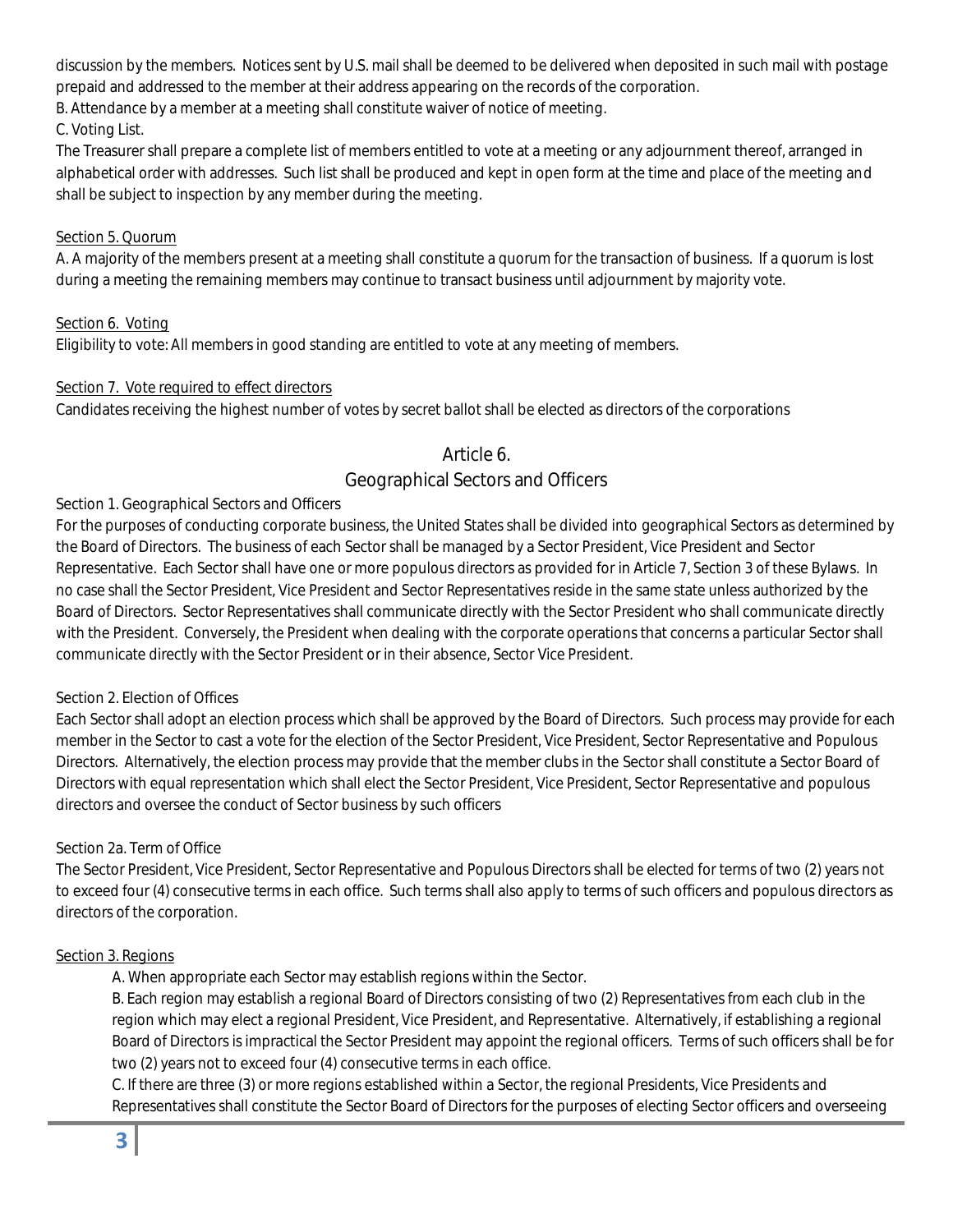discussion by the members. Notices sent by U.S. mail shall be deemed to be delivered when deposited in such mail with postage prepaid and addressed to the member at their address appearing on the records of the corporation.

B. Attendance by a member at a meeting shall constitute waiver of notice of meeting.

#### C. Voting List.

The Treasurer shall prepare a complete list of members entitled to vote at a meeting or any adjournment thereof, arranged in alphabetical order with addresses. Such list shall be produced and kept in open form at the time and place of the meeting and shall be subject to inspection by any member during the meeting.

#### Section 5. Quorum

A. A majority of the members present at a meeting shall constitute a quorum for the transaction of business. If a quorum is lost during a meeting the remaining members may continue to transact business until adjournment by majority vote.

#### Section 6. Voting

Eligibility to vote: All members in good standing are entitled to vote at any meeting of members.

#### Section 7. Vote required to effect directors

Candidates receiving the highest number of votes by secret ballot shall be elected as directors of the corporations

#### Article 6.

### Geographical Sectors and Officers

#### Section 1. Geographical Sectors and Officers

For the purposes of conducting corporate business, the United States shall be divided into geographical Sectors as determined by the Board of Directors. The business of each Sector shall be managed by a Sector President, Vice President and Sector Representative. Each Sector shall have one or more populous directors as provided for in Article 7, Section 3 of these Bylaws. In no case shall the Sector President, Vice President and Sector Representatives reside in the same state unless authorized by the Board of Directors. Sector Representatives shall communicate directly with the Sector President who shall communicate directly with the President. Conversely, the President when dealing with the corporate operations that concerns a particular Sector shall communicate directly with the Sector President or in their absence, Sector Vice President.

#### Section 2. Election of Offices

Each Sector shall adopt an election process which shall be approved by the Board of Directors. Such process may provide for each member in the Sector to cast a vote for the election of the Sector President, Vice President, Sector Representative and Populous Directors. Alternatively, the election process may provide that the member clubs in the Sector shall constitute a Sector Board of Directors with equal representation which shall elect the Sector President, Vice President, Sector Representative and populous directors and oversee the conduct of Sector business by such officers

#### Section 2a. Term of Office

The Sector President, Vice President, Sector Representative and Populous Directors shall be elected for terms of two (2) years not to exceed four (4) consecutive terms in each office. Such terms shall also apply to terms of such officers and populous directors as directors of the corporation.

#### Section 3. Regions

A. When appropriate each Sector may establish regions within the Sector.

B. Each region may establish a regional Board of Directors consisting of two (2) Representatives from each club in the region which may elect a regional President, Vice President, and Representative. Alternatively, if establishing a regional Board of Directors is impractical the Sector President may appoint the regional officers. Terms of such officers shall be for two (2) years not to exceed four (4) consecutive terms in each office.

C. If there are three (3) or more regions established within a Sector, the regional Presidents, Vice Presidents and Representatives shall constitute the Sector Board of Directors for the purposes of electing Sector officers and overseeing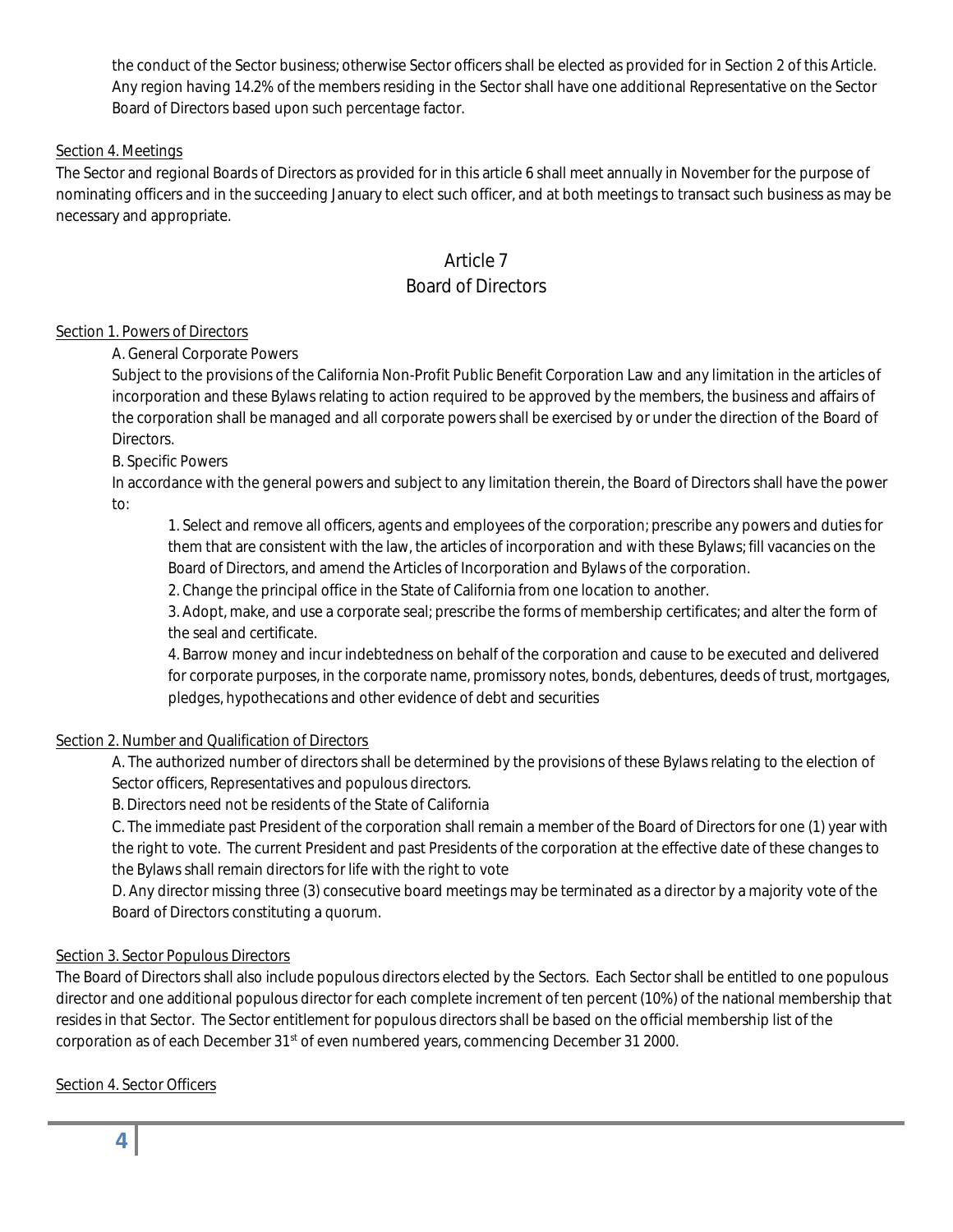the conduct of the Sector business; otherwise Sector officers shall be elected as provided for in Section 2 of this Article. Any region having 14.2% of the members residing in the Sector shall have one additional Representative on the Sector Board of Directors based upon such percentage factor.

#### Section 4. Meetings

The Sector and regional Boards of Directors as provided for in this article 6 shall meet annually in November for the purpose of nominating officers and in the succeeding January to elect such officer, and at both meetings to transact such business as may be necessary and appropriate.

## Article 7

### Board of Directors

#### Section 1. Powers of Directors

A. General Corporate Powers

Subject to the provisions of the California Non-Profit Public Benefit Corporation Law and any limitation in the articles of incorporation and these Bylaws relating to action required to be approved by the members, the business and affairs of the corporation shall be managed and all corporate powers shall be exercised by or under the direction of the Board of Directors.

#### B. Specific Powers

In accordance with the general powers and subject to any limitation therein, the Board of Directors shall have the power to:

1. Select and remove all officers, agents and employees of the corporation; prescribe any powers and duties for them that are consistent with the law, the articles of incorporation and with these Bylaws; fill vacancies on the Board of Directors, and amend the Articles of Incorporation and Bylaws of the corporation.

2. Change the principal office in the State of California from one location to another.

3. Adopt, make, and use a corporate seal; prescribe the forms of membership certificates; and alter the form of the seal and certificate.

4. Barrow money and incur indebtedness on behalf of the corporation and cause to be executed and delivered for corporate purposes, in the corporate name, promissory notes, bonds, debentures, deeds of trust, mortgages, pledges, hypothecations and other evidence of debt and securities

#### Section 2. Number and Qualification of Directors

A. The authorized number of directors shall be determined by the provisions of these Bylaws relating to the election of Sector officers, Representatives and populous directors.

B. Directors need not be residents of the State of California

C. The immediate past President of the corporation shall remain a member of the Board of Directors for one (1) year with the right to vote. The current President and past Presidents of the corporation at the effective date of these changes to the Bylaws shall remain directors for life with the right to vote

D. Any director missing three (3) consecutive board meetings may be terminated as a director by a majority vote of the Board of Directors constituting a quorum.

#### Section 3. Sector Populous Directors

The Board of Directors shall also include populous directors elected by the Sectors. Each Sector shall be entitled to one populous director and one additional populous director for each complete increment of ten percent (10%) of the national membership that resides in that Sector. The Sector entitlement for populous directors shall be based on the official membership list of the corporation as of each December 31<sup>st</sup> of even numbered years, commencing December 31 2000.

Section 4. Sector Officers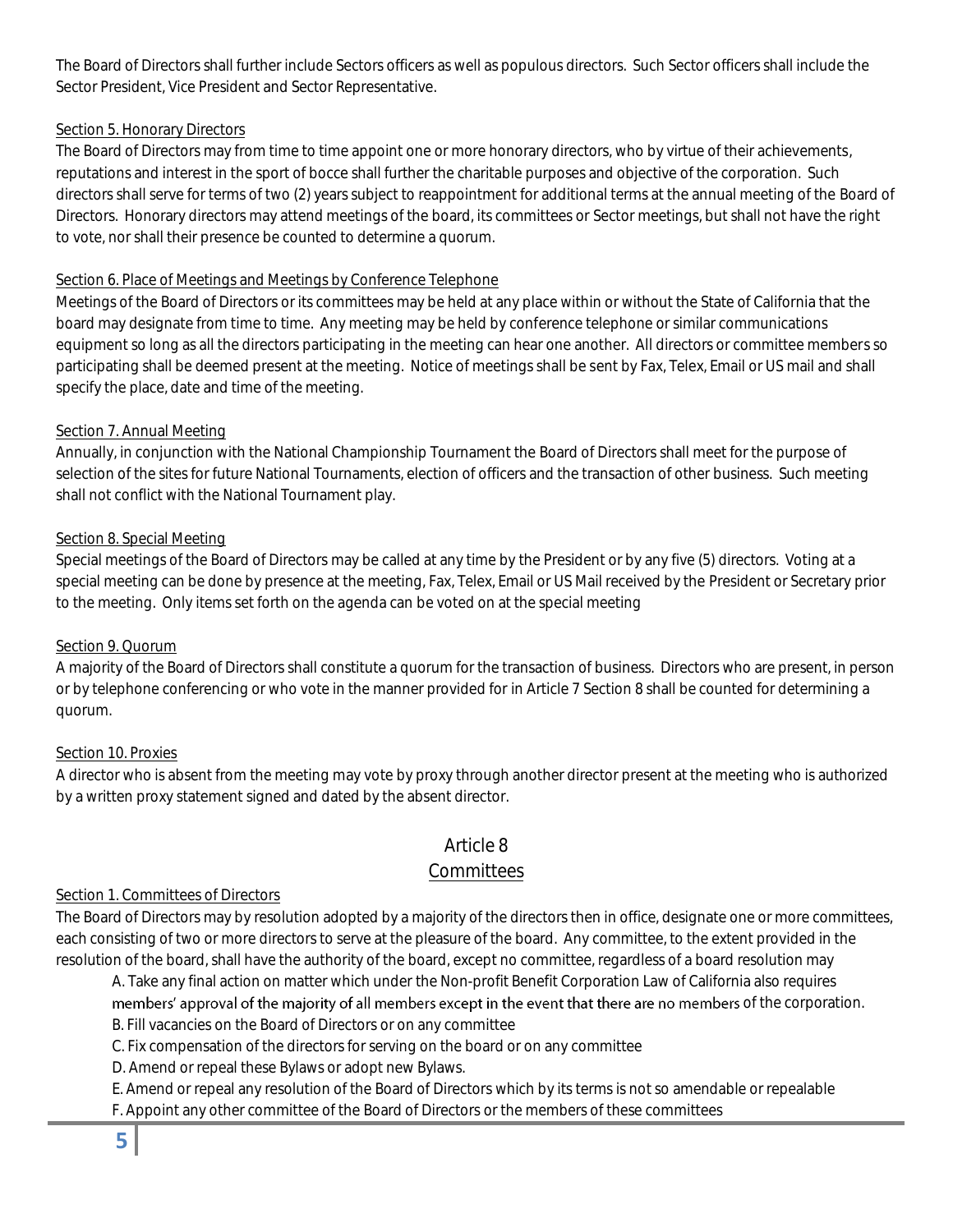The Board of Directors shall further include Sectors officers as well as populous directors. Such Sector officers shall include the Sector President, Vice President and Sector Representative.

#### Section 5. Honorary Directors

The Board of Directors may from time to time appoint one or more honorary directors, who by virtue of their achievements, reputations and interest in the sport of bocce shall further the charitable purposes and objective of the corporation. Such directors shall serve for terms of two (2) years subject to reappointment for additional terms at the annual meeting of the Board of Directors. Honorary directors may attend meetings of the board, its committees or Sector meetings, but shall not have the right to vote, nor shall their presence be counted to determine a quorum.

#### Section 6. Place of Meetings and Meetings by Conference Telephone

Meetings of the Board of Directors or its committees may be held at any place within or without the State of California that the board may designate from time to time. Any meeting may be held by conference telephone or similar communications equipment so long as all the directors participating in the meeting can hear one another. All directors or committee members so participating shall be deemed present at the meeting. Notice of meetings shall be sent by Fax, Telex, Email or US mail and shall specify the place, date and time of the meeting.

#### Section 7. Annual Meeting

Annually, in conjunction with the National Championship Tournament the Board of Directors shall meet for the purpose of selection of the sites for future National Tournaments, election of officers and the transaction of other business. Such meeting shall not conflict with the National Tournament play.

#### Section 8. Special Meeting

Special meetings of the Board of Directors may be called at any time by the President or by any five (5) directors. Voting at a special meeting can be done by presence at the meeting, Fax, Telex, Email or US Mail received by the President or Secretary prior to the meeting. Only items set forth on the agenda can be voted on at the special meeting

#### Section 9. Quorum

A majority of the Board of Directors shall constitute a quorum for the transaction of business. Directors who are present, in person or by telephone conferencing or who vote in the manner provided for in Article 7 Section 8 shall be counted for determining a quorum.

#### Section 10. Proxies

A director who is absent from the meeting may vote by proxy through another director present at the meeting who is authorized by a written proxy statement signed and dated by the absent director.

### Article 8

### Committees

#### Section 1. Committees of Directors

The Board of Directors may by resolution adopted by a majority of the directors then in office, designate one or more committees, each consisting of two or more directors to serve at the pleasure of the board. Any committee, to the extent provided in the resolution of the board, shall have the authority of the board, except no committee, regardless of a board resolution may

A. Take any final action on matter which under the Non-profit Benefit Corporation Law of California also requires

members' approval of the majority of all members except in the event that there are no members of the corporation.

B. Fill vacancies on the Board of Directors or on any committee

C. Fix compensation of the directors for serving on the board or on any committee

D. Amend or repeal these Bylaws or adopt new Bylaws.

E. Amend or repeal any resolution of the Board of Directors which by its terms is not so amendable or repealable

F. Appoint any other committee of the Board of Directors or the members of these committees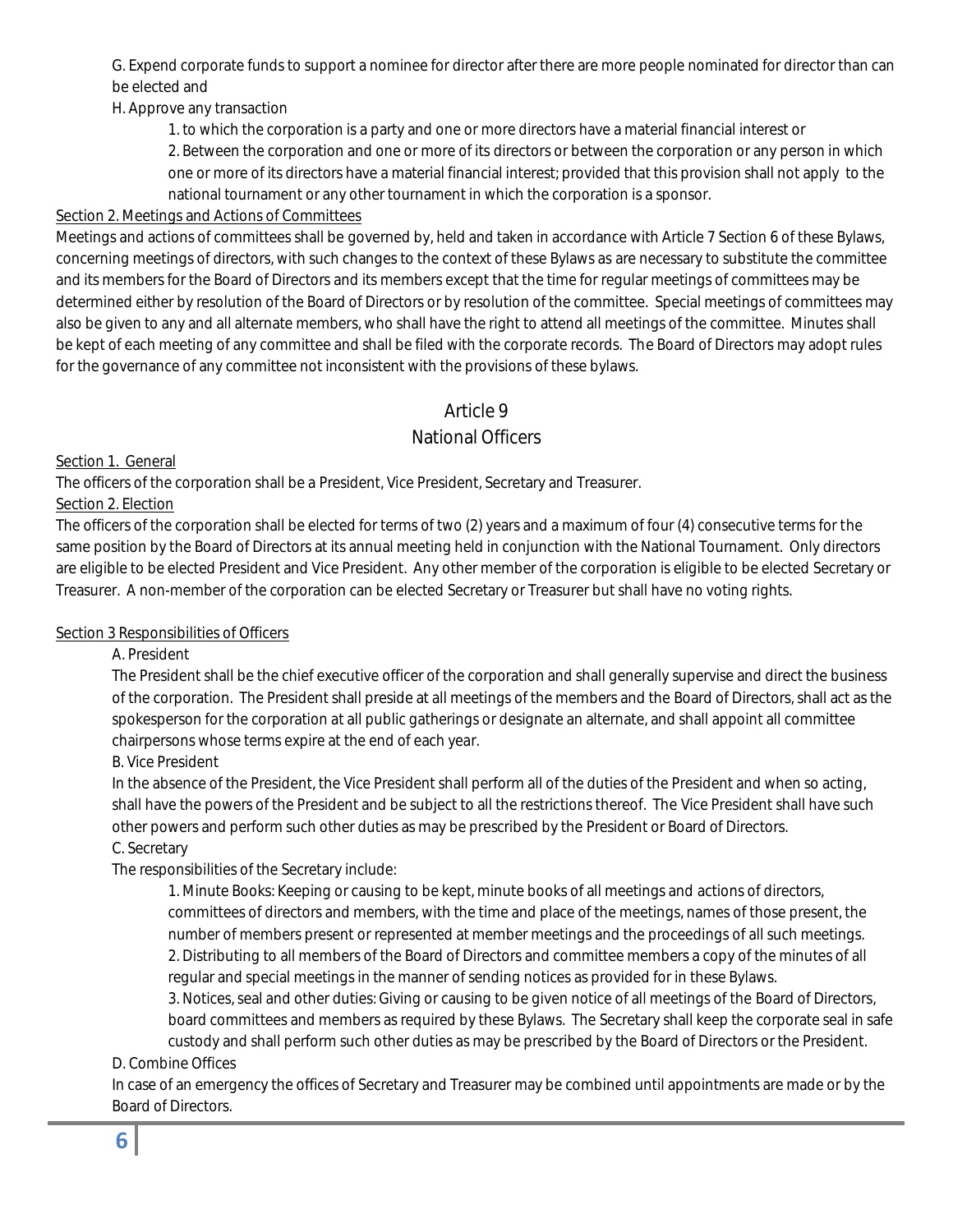G. Expend corporate funds to support a nominee for director after there are more people nominated for director than can be elected and

H. Approve any transaction

1. to which the corporation is a party and one or more directors have a material financial interest or

2. Between the corporation and one or more of its directors or between the corporation or any person in which one or more of its directors have a material financial interest; provided that this provision shall not apply to the national tournament or any other tournament in which the corporation is a sponsor.

### Section 2. Meetings and Actions of Committees

Meetings and actions of committees shall be governed by, held and taken in accordance with Article 7 Section 6 of these Bylaws, concerning meetings of directors, with such changes to the context of these Bylaws as are necessary to substitute the committee and its members for the Board of Directors and its members except that the time for regular meetings of committees may be determined either by resolution of the Board of Directors or by resolution of the committee. Special meetings of committees may also be given to any and all alternate members, who shall have the right to attend all meetings of the committee. Minutes shall be kept of each meeting of any committee and shall be filed with the corporate records. The Board of Directors may adopt rules for the governance of any committee not inconsistent with the provisions of these bylaws.

### Article 9

### National Officers

Section 1. General

The officers of the corporation shall be a President, Vice President, Secretary and Treasurer.

### Section 2. Election

The officers of the corporation shall be elected for terms of two (2) years and a maximum of four (4) consecutive terms for the same position by the Board of Directors at its annual meeting held in conjunction with the National Tournament. Only directors are eligible to be elected President and Vice President. Any other member of the corporation is eligible to be elected Secretary or Treasurer. A non-member of the corporation can be elected Secretary or Treasurer but shall have no voting rights.

### Section 3 Responsibilities of Officers

A. President

The President shall be the chief executive officer of the corporation and shall generally supervise and direct the business of the corporation. The President shall preside at all meetings of the members and the Board of Directors, shall act as the spokesperson for the corporation at all public gatherings or designate an alternate, and shall appoint all committee chairpersons whose terms expire at the end of each year.

B. Vice President

In the absence of the President, the Vice President shall perform all of the duties of the President and when so acting, shall have the powers of the President and be subject to all the restrictions thereof. The Vice President shall have such other powers and perform such other duties as may be prescribed by the President or Board of Directors.

### C. Secretary

The responsibilities of the Secretary include:

1. Minute Books: Keeping or causing to be kept, minute books of all meetings and actions of directors, committees of directors and members, with the time and place of the meetings, names of those present, the number of members present or represented at member meetings and the proceedings of all such meetings. 2. Distributing to all members of the Board of Directors and committee members a copy of the minutes of all regular and special meetings in the manner of sending notices as provided for in these Bylaws.

3. Notices, seal and other duties: Giving or causing to be given notice of all meetings of the Board of Directors, board committees and members as required by these Bylaws. The Secretary shall keep the corporate seal in safe custody and shall perform such other duties as may be prescribed by the Board of Directors or the President.

### D. Combine Offices

In case of an emergency the offices of Secretary and Treasurer may be combined until appointments are made or by the Board of Directors.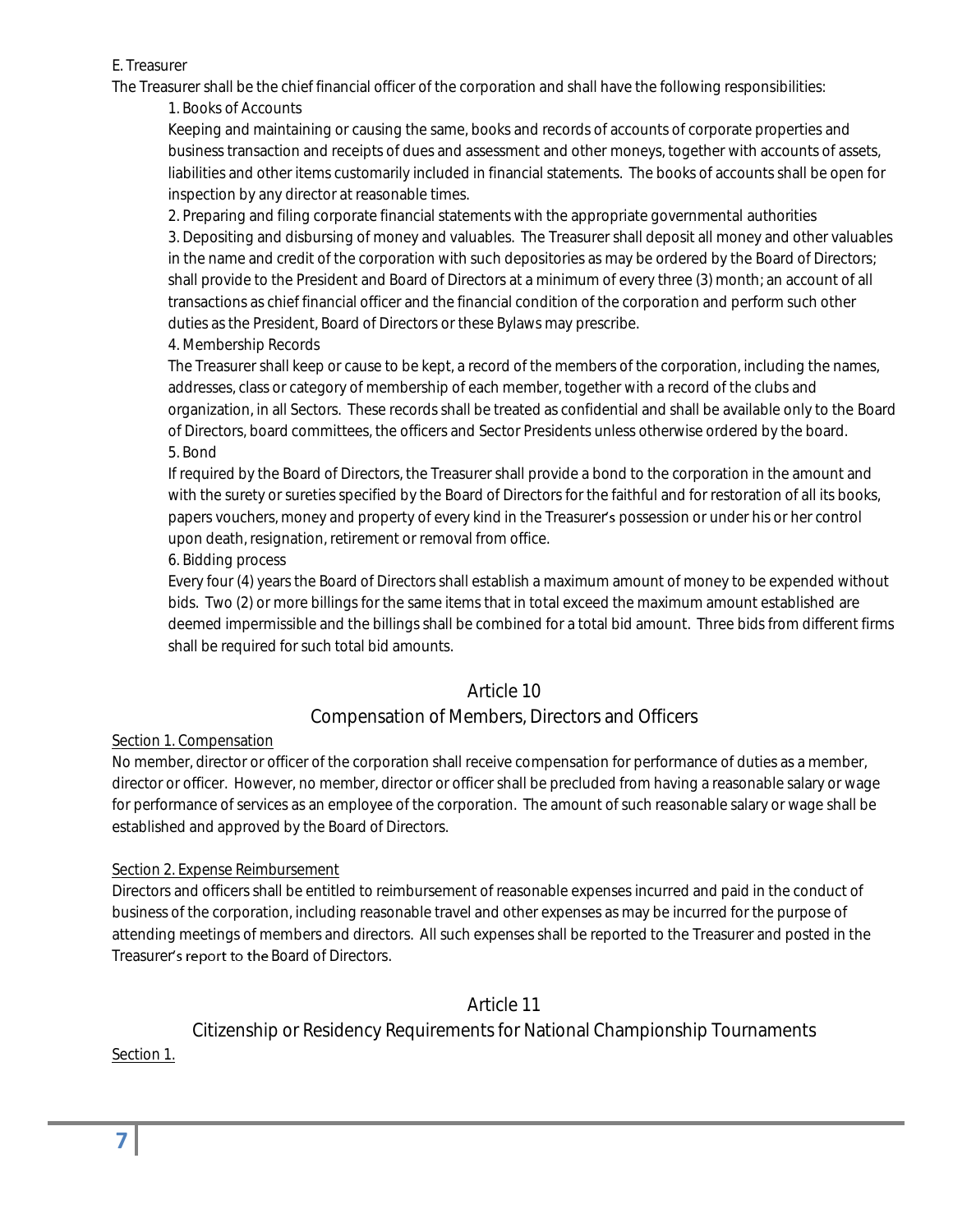#### E. Treasurer

The Treasurer shall be the chief financial officer of the corporation and shall have the following responsibilities:

1. Books of Accounts

Keeping and maintaining or causing the same, books and records of accounts of corporate properties and business transaction and receipts of dues and assessment and other moneys, together with accounts of assets, liabilities and other items customarily included in financial statements. The books of accounts shall be open for inspection by any director at reasonable times.

2. Preparing and filing corporate financial statements with the appropriate governmental authorities

3. Depositing and disbursing of money and valuables. The Treasurer shall deposit all money and other valuables in the name and credit of the corporation with such depositories as may be ordered by the Board of Directors; shall provide to the President and Board of Directors at a minimum of every three (3) month; an account of all transactions as chief financial officer and the financial condition of the corporation and perform such other duties as the President, Board of Directors or these Bylaws may prescribe.

4. Membership Records

The Treasurer shall keep or cause to be kept, a record of the members of the corporation, including the names, addresses, class or category of membership of each member, together with a record of the clubs and organization, in all Sectors. These records shall be treated as confidential and shall be available only to the Board of Directors, board committees, the officers and Sector Presidents unless otherwise ordered by the board. 5. Bond

If required by the Board of Directors, the Treasurer shall provide a bond to the corporation in the amount and with the surety or sureties specified by the Board of Directors for the faithful and for restoration of all its books, papers vouchers, money and property of every kind in the Treasurer's possession or under his or her control upon death, resignation, retirement or removal from office.

6. Bidding process

Every four (4) years the Board of Directors shall establish a maximum amount of money to be expended without bids. Two (2) or more billings for the same items that in total exceed the maximum amount established are deemed impermissible and the billings shall be combined for a total bid amount. Three bids from different firms shall be required for such total bid amounts.

### Article 10

### Compensation of Members, Directors and Officers

### Section 1. Compensation

No member, director or officer of the corporation shall receive compensation for performance of duties as a member, director or officer. However, no member, director or officer shall be precluded from having a reasonable salary or wage for performance of services as an employee of the corporation. The amount of such reasonable salary or wage shall be established and approved by the Board of Directors.

### Section 2. Expense Reimbursement

Directors and officers shall be entitled to reimbursement of reasonable expenses incurred and paid in the conduct of business of the corporation, including reasonable travel and other expenses as may be incurred for the purpose of attending meetings of members and directors. All such expenses shall be reported to the Treasurer and posted in the Treasurer's report to the Board of Directors.

Article 11

Citizenship or Residency Requirements for National Championship Tournaments

Section 1.